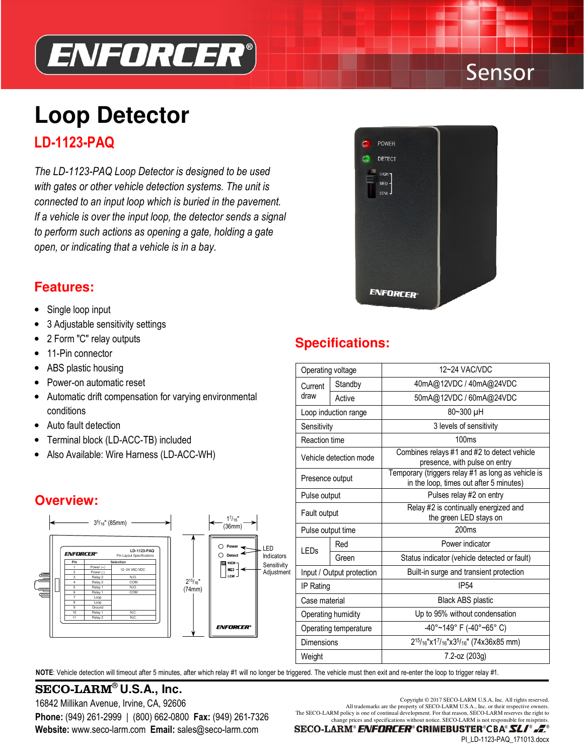

# Sensor

# **Loop Detector** LD-1123-PAQ

The LD-1123-PAQ Loop Detector is designed to be used with gates or other vehicle detection systems. The unit is connected to an input loop which is buried in the pavement. If a vehicle is over the input loop, the detector sends a signal to perform such actions as opening a gate, holding a gate open, or indicating that a vehicle is in a bay.



### **Features:**

- Single loop input
- 3 Adjustable sensitivity settings
- 2 Form "C" relay outputs
- 11-Pin connector
- ABS plastic housing
- Power-on automatic reset
- • Automatic drift compensation for varying environmental conditions
- Auto fault detection
- Terminal block (LD-ACC-TB) included
- Also Available: Wire Harness (LD-ACC-WH)

### **Overview:**



#### NOTE: Vehicle detection will timeout after 5 minutes, after which relay #1 will no longer be triggered. The vehicle must then exit and re-enter the loop to trigger relay #1.

## SECO-LARM<sup>®</sup> U.S.A., Inc.<br>16940 Million Avenue, Indian CA, 00606

Website: www.seco-larm.com Email: sales@seco-larm.com 16842 Millikan Avenue, Irvine, CA, 92606 Copyright © 2017 SECO-LARM U.S.A., Inc. All rights reserved.<br>All trademarks are the property of SECO-LARM U.S.A., Inc. or their respective owners.

**Specifications:**

| Operating voltage         |         | 12~24 VAC/VDC                                                                                                     |  |
|---------------------------|---------|-------------------------------------------------------------------------------------------------------------------|--|
| Current<br>draw           | Standby | 40mA@12VDC / 40mA@24VDC                                                                                           |  |
|                           | Active  | 50mA@12VDC / 60mA@24VDC                                                                                           |  |
| Loop induction range      |         | 80~300 µH                                                                                                         |  |
| Sensitivity               |         | 3 levels of sensitivity                                                                                           |  |
| Reaction time             |         | 100ms                                                                                                             |  |
| Vehicle detection mode    |         | Combines relays #1 and #2 to detect vehicle<br>presence, with pulse on entry                                      |  |
| Presence output           |         | Temporary (triggers relay #1 as long as vehicle is<br>in the loop, times out after 5 minutes)                     |  |
| Pulse output              |         | Pulses relay #2 on entry                                                                                          |  |
| Fault output              |         | Relay #2 is continually energized and<br>the green LED stays on                                                   |  |
| Pulse output time         |         | 200ms                                                                                                             |  |
| LEDs                      | Red     | Power indicator                                                                                                   |  |
|                           | Green   | Status indicator (vehicle detected or fault)                                                                      |  |
| Input / Output protection |         | Built-in surge and transient protection                                                                           |  |
| IP Rating                 |         | <b>IP54</b>                                                                                                       |  |
| Case material             |         | Black ABS plastic                                                                                                 |  |
| Operating humidity        |         | Up to 95% without condensation                                                                                    |  |
| Operating temperature     |         | -40°~149° F (-40°~65° C)                                                                                          |  |
| Dimensions                |         | 2 <sup>15</sup> / <sub>16</sub> "x1 <sup>7</sup> / <sub>16</sub> "x3 <sup>5</sup> / <sub>16</sub> " (74x36x85 mm) |  |
| Weight                    |         | 7.2-oz (203g)                                                                                                     |  |
|                           |         |                                                                                                                   |  |

**Phone:** (949) 261-2999 | (800) 662-0800 **Fax:** (949) 261-7326<br>change prices and specifications without notice. SECO-LARM is not responsible for misprints.

SECO-LARM® ENFORCER® CRIMEBUSTER®CBA® SLI® .E

PI\_LD-1123-PAQ\_171013.docx